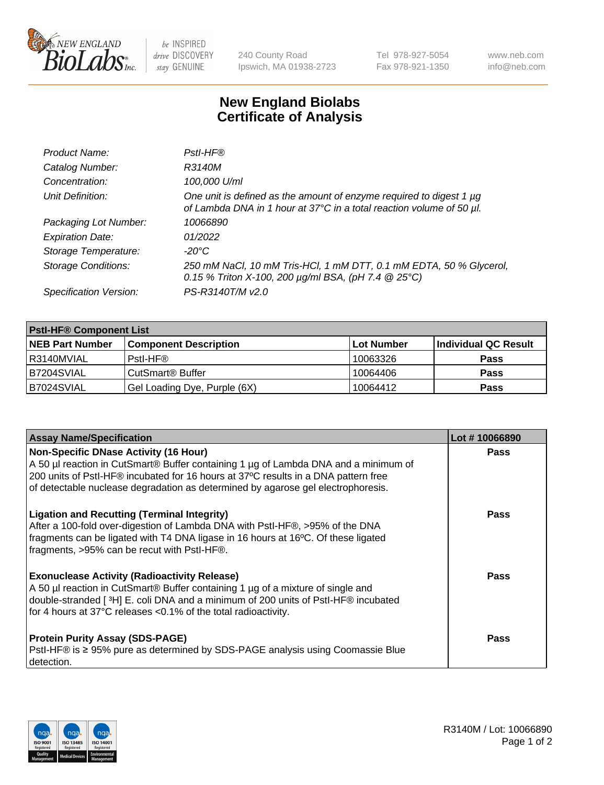

 $be$  INSPIRED drive DISCOVERY stay GENUINE

240 County Road Ipswich, MA 01938-2723 Tel 978-927-5054 Fax 978-921-1350 www.neb.com info@neb.com

## **New England Biolabs Certificate of Analysis**

| Product Name:              | Pstl-HF®                                                                                                                                             |
|----------------------------|------------------------------------------------------------------------------------------------------------------------------------------------------|
| Catalog Number:            | R3140M                                                                                                                                               |
| Concentration:             | 100,000 U/ml                                                                                                                                         |
| Unit Definition:           | One unit is defined as the amount of enzyme required to digest 1 µg<br>of Lambda DNA in 1 hour at 37°C in a total reaction volume of 50 µl.          |
| Packaging Lot Number:      | 10066890                                                                                                                                             |
| <b>Expiration Date:</b>    | 01/2022                                                                                                                                              |
| Storage Temperature:       | $-20^{\circ}$ C                                                                                                                                      |
| <b>Storage Conditions:</b> | 250 mM NaCl, 10 mM Tris-HCl, 1 mM DTT, 0.1 mM EDTA, 50 % Glycerol,<br>0.15 % Triton X-100, 200 $\mu$ g/ml BSA, (pH 7.4 $\textcircled{25}^{\circ}$ C) |
| Specification Version:     | PS-R3140T/M v2.0                                                                                                                                     |

| <b>PstI-HF® Component List</b> |                              |            |                      |  |
|--------------------------------|------------------------------|------------|----------------------|--|
| <b>NEB Part Number</b>         | <b>Component Description</b> | Lot Number | Individual QC Result |  |
| I R3140MVIAL                   | Pstl-HF®                     | 10063326   | <b>Pass</b>          |  |
| IB7204SVIAL                    | CutSmart <sup>®</sup> Buffer | 10064406   | <b>Pass</b>          |  |
| B7024SVIAL                     | Gel Loading Dye, Purple (6X) | 10064412   | <b>Pass</b>          |  |

| <b>Assay Name/Specification</b>                                                                                                                                                                                                                                                                               | Lot #10066890 |
|---------------------------------------------------------------------------------------------------------------------------------------------------------------------------------------------------------------------------------------------------------------------------------------------------------------|---------------|
| <b>Non-Specific DNase Activity (16 Hour)</b><br>A 50 µl reaction in CutSmart® Buffer containing 1 µg of Lambda DNA and a minimum of<br>200 units of Pstl-HF® incubated for 16 hours at 37°C results in a DNA pattern free<br>of detectable nuclease degradation as determined by agarose gel electrophoresis. | <b>Pass</b>   |
| <b>Ligation and Recutting (Terminal Integrity)</b><br>After a 100-fold over-digestion of Lambda DNA with PstI-HF®, >95% of the DNA<br>fragments can be ligated with T4 DNA ligase in 16 hours at 16°C. Of these ligated<br>fragments, >95% can be recut with PstI-HF®.                                        | Pass          |
| <b>Exonuclease Activity (Radioactivity Release)</b><br>A 50 µl reaction in CutSmart® Buffer containing 1 µg of a mixture of single and<br>double-stranded [3H] E. coli DNA and a minimum of 200 units of PstI-HF® incubated<br>for 4 hours at 37°C releases <0.1% of the total radioactivity.                 | <b>Pass</b>   |
| <b>Protein Purity Assay (SDS-PAGE)</b><br>Pstl-HF® is ≥ 95% pure as determined by SDS-PAGE analysis using Coomassie Blue<br>detection.                                                                                                                                                                        | Pass          |